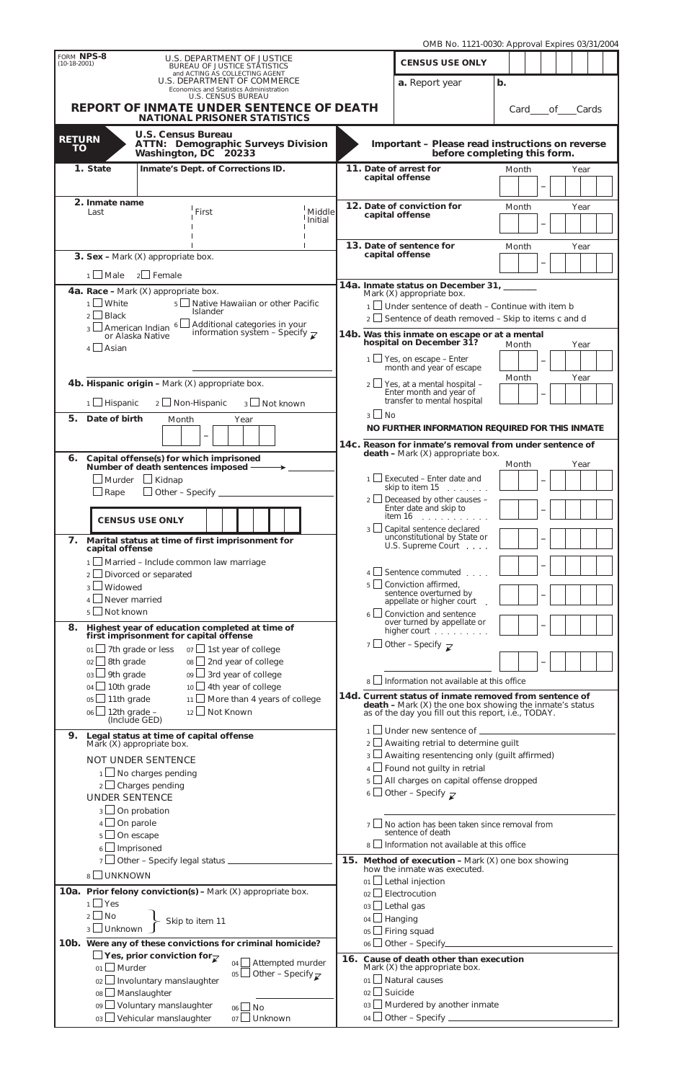|                                                                                        |                                                                                                                                                                                                                                                                                                                                                                                 |                               |                                                                                          |                                   |                                                        |                                                                                                                  | OMB No. 1121-0030: Approval Expires 03/31/2004                                                                            |               |               |                          |      |  |  |  |
|----------------------------------------------------------------------------------------|---------------------------------------------------------------------------------------------------------------------------------------------------------------------------------------------------------------------------------------------------------------------------------------------------------------------------------------------------------------------------------|-------------------------------|------------------------------------------------------------------------------------------|-----------------------------------|--------------------------------------------------------|------------------------------------------------------------------------------------------------------------------|---------------------------------------------------------------------------------------------------------------------------|---------------|---------------|--------------------------|------|--|--|--|
| FORM NPS-8<br>$(10-18-2001)$                                                           |                                                                                                                                                                                                                                                                                                                                                                                 |                               | U.S. DEPARTMENT OF JUSTICE<br><b>BUREAU OF JUSTICE STATISTICS</b>                        |                                   |                                                        |                                                                                                                  | <b>CENSUS USE ONLY</b>                                                                                                    |               |               |                          |      |  |  |  |
|                                                                                        |                                                                                                                                                                                                                                                                                                                                                                                 |                               | and ACTING AS COLLECTING AGENT<br>U.S. DEPARTMENT OF COMMERCE                            |                                   |                                                        |                                                                                                                  | a. Report year                                                                                                            | $\mathbf b$ . |               |                          |      |  |  |  |
| Economics and Statistics Administration<br>U.S. CENSUS BUREAU                          |                                                                                                                                                                                                                                                                                                                                                                                 |                               |                                                                                          |                                   |                                                        |                                                                                                                  |                                                                                                                           |               |               |                          |      |  |  |  |
| <b>REPORT OF INMATE UNDER SENTENCE OF DEATH</b><br><b>NATIONAL PRISONER STATISTICS</b> |                                                                                                                                                                                                                                                                                                                                                                                 |                               |                                                                                          |                                   |                                                        |                                                                                                                  |                                                                                                                           |               | Card of Cards |                          |      |  |  |  |
|                                                                                        |                                                                                                                                                                                                                                                                                                                                                                                 | <b>U.S. Census Bureau</b>     |                                                                                          |                                   |                                                        |                                                                                                                  |                                                                                                                           |               |               |                          |      |  |  |  |
| <b>RETURN</b><br><b>TO</b>                                                             |                                                                                                                                                                                                                                                                                                                                                                                 |                               | <b>ATTN: Demographic Surveys Division</b><br>Washington, DC 20233                        |                                   |                                                        |                                                                                                                  | <b>Important - Please read instructions on reverse</b>                                                                    |               |               |                          |      |  |  |  |
|                                                                                        | 1. State<br>Inmate's Dept. of Corrections ID.                                                                                                                                                                                                                                                                                                                                   |                               |                                                                                          |                                   |                                                        |                                                                                                                  | before completing this form.<br>11. Date of arrest for<br>Month                                                           |               |               |                          |      |  |  |  |
|                                                                                        |                                                                                                                                                                                                                                                                                                                                                                                 |                               |                                                                                          |                                   |                                                        |                                                                                                                  | capital offense                                                                                                           |               |               |                          | Year |  |  |  |
|                                                                                        | <b>2. Inmate name</b>                                                                                                                                                                                                                                                                                                                                                           |                               |                                                                                          |                                   |                                                        |                                                                                                                  |                                                                                                                           |               |               |                          |      |  |  |  |
|                                                                                        | Last                                                                                                                                                                                                                                                                                                                                                                            |                               | First                                                                                    | Middle<br>Initial                 |                                                        |                                                                                                                  | 12. Date of conviction for<br>capital offense                                                                             |               | Month         |                          | Year |  |  |  |
|                                                                                        |                                                                                                                                                                                                                                                                                                                                                                                 |                               |                                                                                          |                                   |                                                        |                                                                                                                  |                                                                                                                           |               |               |                          |      |  |  |  |
|                                                                                        |                                                                                                                                                                                                                                                                                                                                                                                 |                               |                                                                                          |                                   |                                                        |                                                                                                                  | 13. Date of sentence for<br>capital offense                                                                               |               | Month         |                          | Year |  |  |  |
|                                                                                        | <b>3. Sex -</b> Mark $(X)$ appropriate box.                                                                                                                                                                                                                                                                                                                                     |                               |                                                                                          |                                   |                                                        |                                                                                                                  |                                                                                                                           |               |               |                          |      |  |  |  |
|                                                                                        | $1 \square$ Male                                                                                                                                                                                                                                                                                                                                                                | $2 \Box$ Female               |                                                                                          |                                   |                                                        |                                                                                                                  | 14a. Inmate status on December 31, ______                                                                                 |               |               |                          |      |  |  |  |
|                                                                                        | 4a. Race - Mark $(X)$ appropriate box.<br>$1 \cup$ White<br>5 Sul Native Hawaiian or other Pacific                                                                                                                                                                                                                                                                              |                               |                                                                                          |                                   |                                                        |                                                                                                                  | Mark (X) appropriate box.                                                                                                 |               |               |                          |      |  |  |  |
|                                                                                        | Islander<br>$2$ Black                                                                                                                                                                                                                                                                                                                                                           |                               |                                                                                          |                                   |                                                        | $1$ Under sentence of death - Continue with item b<br>$2 \Box$ Sentence of death removed – Skip to items c and d |                                                                                                                           |               |               |                          |      |  |  |  |
|                                                                                        | $3 \square$ And $\square$ and $\square$ and $\square$ and $\square$ and $\square$ and $\square$ and $\square$ and $\square$ and $\square$ and $\square$ and $\square$ and $\square$ and $\square$ and $\square$ and $\square$ and $\square$ and $\square$ and $\square$ and $\square$ and $\square$ and $\square$ and $\square$ and $\square$ and $\square$<br>or Alaska Native |                               |                                                                                          |                                   |                                                        |                                                                                                                  | 14b. Was this inmate on escape or at a mental                                                                             |               |               |                          |      |  |  |  |
| $4 \Box$ Asian                                                                         |                                                                                                                                                                                                                                                                                                                                                                                 |                               |                                                                                          |                                   |                                                        |                                                                                                                  | hospital on December 31?                                                                                                  |               | Month         |                          | Year |  |  |  |
|                                                                                        |                                                                                                                                                                                                                                                                                                                                                                                 |                               |                                                                                          |                                   |                                                        |                                                                                                                  | $1 \square$ Yes, on escape – <i>Enter</i><br>month and year of escape                                                     |               |               |                          |      |  |  |  |
|                                                                                        |                                                                                                                                                                                                                                                                                                                                                                                 |                               | <b>4b. Hispanic origin - Mark (X) appropriate box.</b>                                   |                                   |                                                        |                                                                                                                  | $2 \Box$ Yes, at a mental hospital –                                                                                      |               | Month         |                          | Year |  |  |  |
|                                                                                        | $1$ Hispanic                                                                                                                                                                                                                                                                                                                                                                    |                               | 2 Non-Hispanic                                                                           | $3 \Box$ Not known                |                                                        |                                                                                                                  | Enter month and year of<br>transfer to mental hospital                                                                    |               |               |                          |      |  |  |  |
| 5.                                                                                     | Date of birth                                                                                                                                                                                                                                                                                                                                                                   | Month                         | Year                                                                                     |                                   |                                                        | $3 \cup$ No                                                                                                      |                                                                                                                           |               |               |                          |      |  |  |  |
|                                                                                        |                                                                                                                                                                                                                                                                                                                                                                                 |                               |                                                                                          |                                   |                                                        |                                                                                                                  | NO FURTHER INFORMATION REQUIRED FOR THIS INMATE                                                                           |               |               |                          |      |  |  |  |
|                                                                                        |                                                                                                                                                                                                                                                                                                                                                                                 |                               |                                                                                          |                                   |                                                        |                                                                                                                  | 14c. Reason for inmate's removal from under sentence of<br>death - Mark (X) appropriate box.                              |               |               |                          |      |  |  |  |
|                                                                                        |                                                                                                                                                                                                                                                                                                                                                                                 |                               | 6. Capital offense(s) for which imprisoned<br>Number of death sentences imposed -        |                                   |                                                        |                                                                                                                  |                                                                                                                           |               | Month         |                          | Year |  |  |  |
|                                                                                        |                                                                                                                                                                                                                                                                                                                                                                                 | ∟Murder ∟Kidnap               |                                                                                          |                                   |                                                        |                                                                                                                  | $1 \Box$ Executed – Enter date and<br>skip to item $15$ , $\ldots$ , $\ldots$                                             |               |               | $\overline{\phantom{0}}$ |      |  |  |  |
|                                                                                        | $\Box$ Rape                                                                                                                                                                                                                                                                                                                                                                     |                               |                                                                                          |                                   |                                                        |                                                                                                                  | $2 \Box$ Deceased by other causes -                                                                                       |               |               |                          |      |  |  |  |
|                                                                                        |                                                                                                                                                                                                                                                                                                                                                                                 | <b>CENSUS USE ONLY</b>        |                                                                                          |                                   |                                                        |                                                                                                                  | Enter date and skip to<br>item 16<br>and a state of                                                                       |               |               |                          |      |  |  |  |
|                                                                                        |                                                                                                                                                                                                                                                                                                                                                                                 |                               |                                                                                          |                                   |                                                        | $3 \perp$                                                                                                        | Capital sentence declared                                                                                                 |               |               |                          |      |  |  |  |
| 7.                                                                                     | capital offense                                                                                                                                                                                                                                                                                                                                                                 |                               | Marital status at time of first imprisonment for                                         |                                   |                                                        |                                                                                                                  | unconstitutional by State or<br>U.S. Supreme Court                                                                        |               |               |                          |      |  |  |  |
|                                                                                        |                                                                                                                                                                                                                                                                                                                                                                                 |                               | $1 \Box$ Married – Include common law marriage                                           |                                   |                                                        |                                                                                                                  |                                                                                                                           |               |               |                          |      |  |  |  |
|                                                                                        | $2 \Box$ Divorced or separated<br>$_3 \sqcup$ Widowed                                                                                                                                                                                                                                                                                                                           |                               |                                                                                          |                                   |                                                        |                                                                                                                  | $4 \cup$ Sentence commuted $\ldots$<br>$5 \Box$ Conviction affirmed.                                                      |               |               |                          |      |  |  |  |
|                                                                                        | $4 \Box$ Never married                                                                                                                                                                                                                                                                                                                                                          |                               |                                                                                          |                                   |                                                        |                                                                                                                  | sentence overturned by<br>appellate or higher court                                                                       |               |               |                          |      |  |  |  |
|                                                                                        | 5 □ Not known                                                                                                                                                                                                                                                                                                                                                                   |                               |                                                                                          |                                   |                                                        |                                                                                                                  | $6 \Box$ Conviction and sentence                                                                                          |               |               |                          |      |  |  |  |
| 8.                                                                                     |                                                                                                                                                                                                                                                                                                                                                                                 |                               | Highest year of education completed at time of<br>first imprisonment for capital offense |                                   |                                                        |                                                                                                                  | over turned by appellate or<br>higher court $\ldots$                                                                      |               |               |                          |      |  |  |  |
|                                                                                        | $01$ $\Box$ 7th grade or less                                                                                                                                                                                                                                                                                                                                                   |                               | o7 <u>□</u> 1st year of college                                                          |                                   |                                                        |                                                                                                                  | 7 Other - Specify $\overline{\chi}$                                                                                       |               |               |                          |      |  |  |  |
|                                                                                        | $08$ 2nd year of college<br>$02 \Box$ 8th grade                                                                                                                                                                                                                                                                                                                                 |                               |                                                                                          |                                   |                                                        |                                                                                                                  |                                                                                                                           |               |               |                          |      |  |  |  |
|                                                                                        | $_{09}$ $\Box$ 3rd year of college<br>$03 \Box$ 9th grade<br>$04 \Box$ 10th grade<br>$10$ 4th year of college                                                                                                                                                                                                                                                                   |                               |                                                                                          |                                   |                                                        |                                                                                                                  | Information not available at this office                                                                                  |               |               |                          |      |  |  |  |
|                                                                                        | $05$ 11th grade<br>11   More than 4 years of college                                                                                                                                                                                                                                                                                                                            |                               |                                                                                          |                                   |                                                        |                                                                                                                  | 14d. Current status of inmate removed from sentence of                                                                    |               |               |                          |      |  |  |  |
|                                                                                        | $06$ 12th grade –<br>(Include GED)                                                                                                                                                                                                                                                                                                                                              |                               | 12 Not Known                                                                             |                                   |                                                        |                                                                                                                  | <b>death -</b> Mark $(X)$ the one box showing the inmate's status<br>as of the day you fill out this report, i.e., TODAY. |               |               |                          |      |  |  |  |
| 9.                                                                                     |                                                                                                                                                                                                                                                                                                                                                                                 |                               | Legal status at time of capital offense                                                  |                                   |                                                        |                                                                                                                  | $1$ Under new sentence of $\frac{1}{2}$                                                                                   |               |               |                          |      |  |  |  |
|                                                                                        |                                                                                                                                                                                                                                                                                                                                                                                 | Mark (X) appropriate box.     |                                                                                          |                                   |                                                        |                                                                                                                  | $2 \Box$ Awaiting retrial to determine guilt                                                                              |               |               |                          |      |  |  |  |
|                                                                                        |                                                                                                                                                                                                                                                                                                                                                                                 | <b>NOT UNDER SENTENCE</b>     |                                                                                          |                                   |                                                        |                                                                                                                  | $_3$ $\Box$ Awaiting resentencing only (guilt affirmed)<br>4 Found not guilty in retrial                                  |               |               |                          |      |  |  |  |
|                                                                                        | $1 \Box$ No charges pending<br>$2 \Box$ Charges pending                                                                                                                                                                                                                                                                                                                         |                               |                                                                                          |                                   |                                                        | 5 All charges on capital offense dropped                                                                         |                                                                                                                           |               |               |                          |      |  |  |  |
|                                                                                        | <b>UNDER SENTENCE</b>                                                                                                                                                                                                                                                                                                                                                           |                               |                                                                                          |                                   |                                                        |                                                                                                                  | 6 Other - Specify $\overline{\mathcal{L}}$                                                                                |               |               |                          |      |  |  |  |
|                                                                                        | $3 \Box$ On probation                                                                                                                                                                                                                                                                                                                                                           |                               |                                                                                          |                                   |                                                        |                                                                                                                  |                                                                                                                           |               |               |                          |      |  |  |  |
|                                                                                        | $4 \Box$ On parole                                                                                                                                                                                                                                                                                                                                                              |                               |                                                                                          |                                   |                                                        | $7 \mid$                                                                                                         | No action has been taken since removal from<br>sentence of death                                                          |               |               |                          |      |  |  |  |
|                                                                                        | $5 \Box$ On escape<br>$6 \Box$ Imprisoned                                                                                                                                                                                                                                                                                                                                       |                               |                                                                                          |                                   |                                                        |                                                                                                                  | 8 $□$ Information not available at this office                                                                            |               |               |                          |      |  |  |  |
|                                                                                        |                                                                                                                                                                                                                                                                                                                                                                                 |                               |                                                                                          |                                   |                                                        |                                                                                                                  | 15. Method of execution - Mark (X) one box showing<br>how the inmate was executed.                                        |               |               |                          |      |  |  |  |
|                                                                                        | 8 UNKNOWN                                                                                                                                                                                                                                                                                                                                                                       |                               |                                                                                          |                                   |                                                        |                                                                                                                  | 01 Lethal injection                                                                                                       |               |               |                          |      |  |  |  |
|                                                                                        | <b>10a.</b> Prior felony conviction(s) - Mark $(X)$ appropriate box.<br>$1 \cup$ Yes<br>$2 \Box$ No                                                                                                                                                                                                                                                                             |                               |                                                                                          |                                   |                                                        |                                                                                                                  | $02$ Electrocution                                                                                                        |               |               |                          |      |  |  |  |
|                                                                                        |                                                                                                                                                                                                                                                                                                                                                                                 |                               |                                                                                          |                                   |                                                        | 03 Lethal gas                                                                                                    |                                                                                                                           |               |               |                          |      |  |  |  |
|                                                                                        | 3 Unknown                                                                                                                                                                                                                                                                                                                                                                       |                               | Skip to item 11                                                                          |                                   | $04$ Hanging<br>05 DFiring squad                       |                                                                                                                  |                                                                                                                           |               |               |                          |      |  |  |  |
|                                                                                        | 10b. Were any of these convictions for criminal homicide?                                                                                                                                                                                                                                                                                                                       |                               |                                                                                          |                                   |                                                        |                                                                                                                  | $06$ Other - Specify                                                                                                      |               |               |                          |      |  |  |  |
|                                                                                        | $\Box$ Yes, prior conviction for $\overline{\swarrow}$<br>$04$ Attempted murder<br>$01$ Murder                                                                                                                                                                                                                                                                                  |                               |                                                                                          |                                   |                                                        |                                                                                                                  | 16. Cause of death other than execution                                                                                   |               |               |                          |      |  |  |  |
|                                                                                        |                                                                                                                                                                                                                                                                                                                                                                                 | 02   Involuntary manslaughter |                                                                                          | 05 Other - Specify $\overline{z}$ | Mark $(X)$ the appropriate box.<br>01   Natural causes |                                                                                                                  |                                                                                                                           |               |               |                          |      |  |  |  |
|                                                                                        | 08 Manslaughter                                                                                                                                                                                                                                                                                                                                                                 |                               |                                                                                          |                                   |                                                        | $02$ Suicide                                                                                                     |                                                                                                                           |               |               |                          |      |  |  |  |
|                                                                                        |                                                                                                                                                                                                                                                                                                                                                                                 | 09 Voluntary manslaughter     | $\Box$ No<br>06                                                                          |                                   |                                                        |                                                                                                                  | 03 Murdered by another inmate                                                                                             |               |               |                          |      |  |  |  |
|                                                                                        |                                                                                                                                                                                                                                                                                                                                                                                 | 03 Vehicular manslaughter     | 07 Unknown                                                                               |                                   |                                                        |                                                                                                                  |                                                                                                                           |               |               |                          |      |  |  |  |